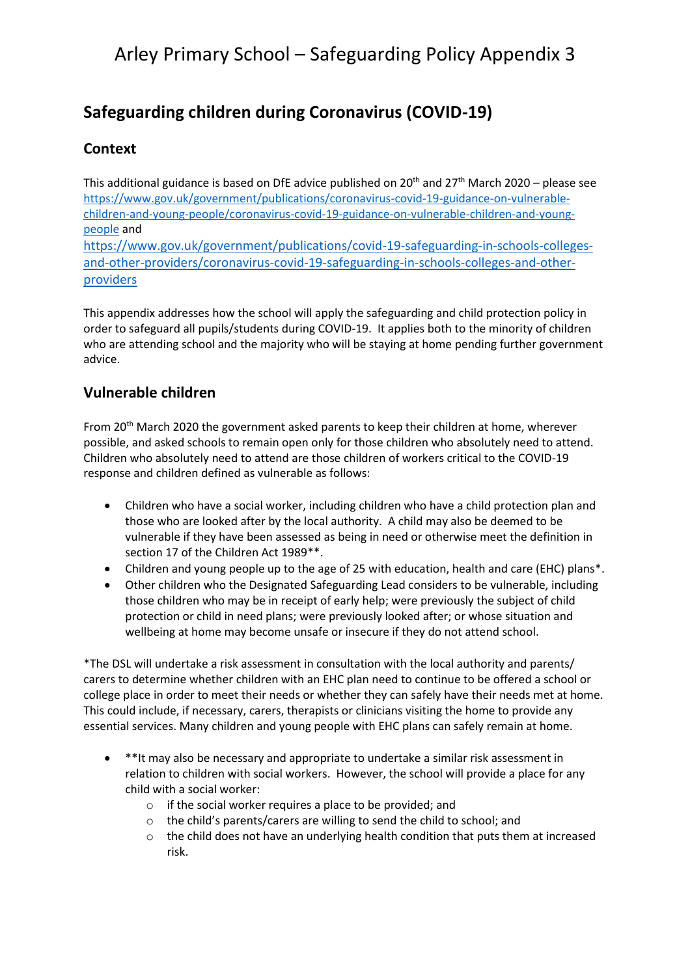# Arley Primary School – Safeguarding Policy Appendix 3

## **Safeguarding children during Coronavirus (COVID-19)**

#### **Context**

This additional guidance is based on DfE advice published on 20 $^{\rm th}$  and 27 $^{\rm th}$  March 2020 – please see [https://www.gov.uk/government/publications/coronavirus-covid-19-guidance-on-vulnerable](https://www.gov.uk/government/publications/coronavirus-covid-19-guidance-on-vulnerable-children-and-young-people/coronavirus-covid-19-guidance-on-vulnerable-children-and-young-people)[children-and-young-people/coronavirus-covid-19-guidance-on-vulnerable-children-and-young](https://www.gov.uk/government/publications/coronavirus-covid-19-guidance-on-vulnerable-children-and-young-people/coronavirus-covid-19-guidance-on-vulnerable-children-and-young-people)[people](https://www.gov.uk/government/publications/coronavirus-covid-19-guidance-on-vulnerable-children-and-young-people/coronavirus-covid-19-guidance-on-vulnerable-children-and-young-people) and [https://www.gov.uk/government/publications/covid-19-safeguarding-in-schools-colleges](https://www.gov.uk/government/publications/covid-19-safeguarding-in-schools-colleges-and-other-providers/coronavirus-covid-19-safeguarding-in-schools-colleges-and-other-providers)[and-other-providers/coronavirus-covid-19-safeguarding-in-schools-colleges-and-other](https://www.gov.uk/government/publications/covid-19-safeguarding-in-schools-colleges-and-other-providers/coronavirus-covid-19-safeguarding-in-schools-colleges-and-other-providers)[providers](https://www.gov.uk/government/publications/covid-19-safeguarding-in-schools-colleges-and-other-providers/coronavirus-covid-19-safeguarding-in-schools-colleges-and-other-providers)

This appendix addresses how the school will apply the safeguarding and child protection policy in order to safeguard all pupils/students during COVID-19. It applies both to the minority of children who are attending school and the majority who will be staying at home pending further government advice.

#### **Vulnerable children**

From 20<sup>th</sup> March 2020 the government asked parents to keep their children at home, wherever possible, and asked schools to remain open only for those children who absolutely need to attend. Children who absolutely need to attend are those children of workers critical to the COVID-19 response and children defined as vulnerable as follows:

- Children who have a social worker, including children who have a child protection plan and those who are looked after by the local authority. A child may also be deemed to be vulnerable if they have been assessed as being in need or otherwise meet the definition in section 17 of the Children Act 1989\*\*.
- Children and young people up to the age of 25 with education, health and care (EHC) plans\*.
- Other children who the Designated Safeguarding Lead considers to be vulnerable, including those children who may be in receipt of early help; were previously the subject of child protection or child in need plans; were previously looked after; or whose situation and wellbeing at home may become unsafe or insecure if they do not attend school.

\*The DSL will undertake a risk assessment in consultation with the local authority and parents/ carers to determine whether children with an EHC plan need to continue to be offered a school or college place in order to meet their needs or whether they can safely have their needs met at home. This could include, if necessary, carers, therapists or clinicians visiting the home to provide any essential services. Many children and young people with EHC plans can safely remain at home.

- \*\*It may also be necessary and appropriate to undertake a similar risk assessment in relation to children with social workers. However, the school will provide a place for any child with a social worker:
	- o if the social worker requires a place to be provided; and
	- o the child's parents/carers are willing to send the child to school; and
	- $\circ$  the child does not have an underlying health condition that puts them at increased risk.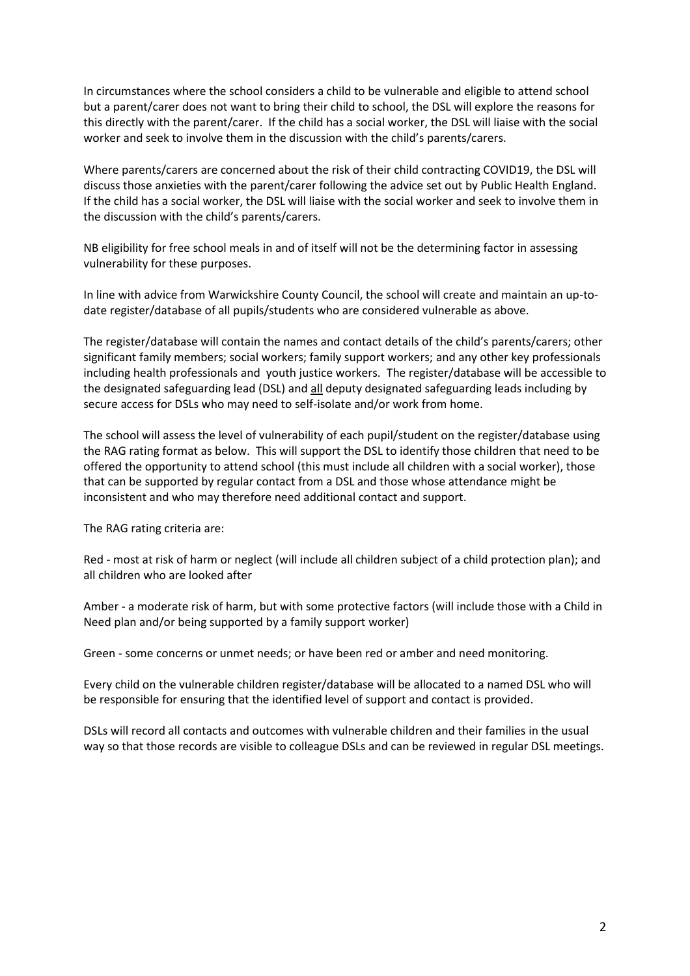In circumstances where the school considers a child to be vulnerable and eligible to attend school but a parent/carer does not want to bring their child to school, the DSL will explore the reasons for this directly with the parent/carer. If the child has a social worker, the DSL will liaise with the social worker and seek to involve them in the discussion with the child's parents/carers.

Where parents/carers are concerned about the risk of their child contracting COVID19, the DSL will discuss those anxieties with the parent/carer following the advice set out by Public Health England. If the child has a social worker, the DSL will liaise with the social worker and seek to involve them in the discussion with the child's parents/carers.

NB eligibility for free school meals in and of itself will not be the determining factor in assessing vulnerability for these purposes.

In line with advice from Warwickshire County Council, the school will create and maintain an up-todate register/database of all pupils/students who are considered vulnerable as above.

The register/database will contain the names and contact details of the child's parents/carers; other significant family members; social workers; family support workers; and any other key professionals including health professionals and youth justice workers. The register/database will be accessible to the designated safeguarding lead (DSL) and all deputy designated safeguarding leads including by secure access for DSLs who may need to self-isolate and/or work from home.

The school will assess the level of vulnerability of each pupil/student on the register/database using the RAG rating format as below. This will support the DSL to identify those children that need to be offered the opportunity to attend school (this must include all children with a social worker), those that can be supported by regular contact from a DSL and those whose attendance might be inconsistent and who may therefore need additional contact and support.

The RAG rating criteria are:

Red - most at risk of harm or neglect (will include all children subject of a child protection plan); and all children who are looked after

Amber - a moderate risk of harm, but with some protective factors (will include those with a Child in Need plan and/or being supported by a family support worker)

Green - some concerns or unmet needs; or have been red or amber and need monitoring.

Every child on the vulnerable children register/database will be allocated to a named DSL who will be responsible for ensuring that the identified level of support and contact is provided.

DSLs will record all contacts and outcomes with vulnerable children and their families in the usual way so that those records are visible to colleague DSLs and can be reviewed in regular DSL meetings.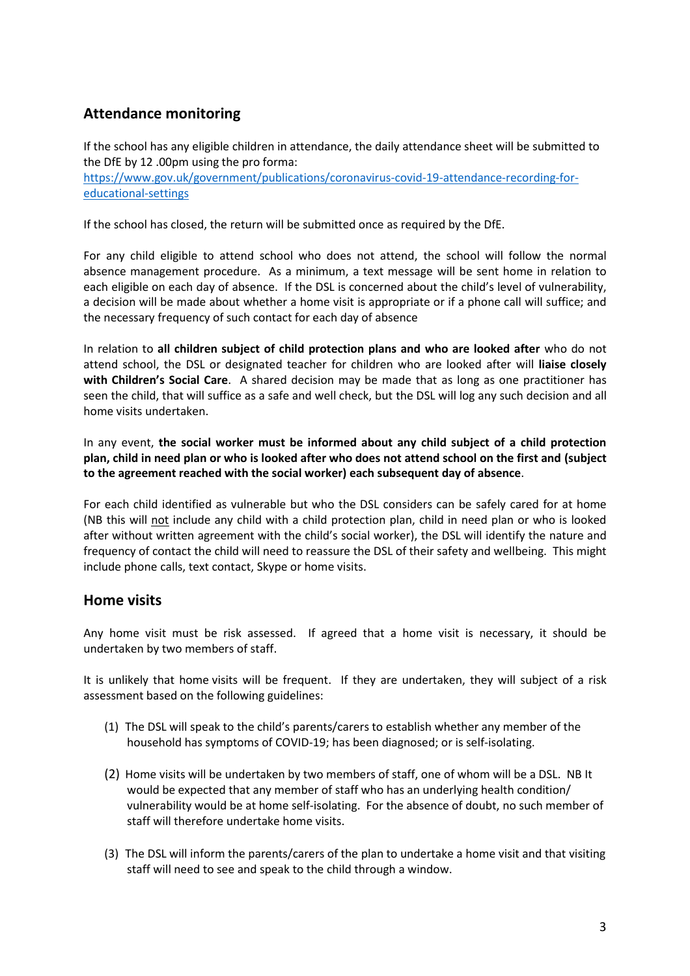## **Attendance monitoring**

If the school has any eligible children in attendance, the daily attendance sheet will be submitted to the DfE by 12 .00pm using the pro forma: [https://www.gov.uk/government/publications/coronavirus-covid-19-attendance-recording-for](https://www.gov.uk/government/publications/coronavirus-covid-19-attendance-recording-for-educational-settings)[educational-settings](https://www.gov.uk/government/publications/coronavirus-covid-19-attendance-recording-for-educational-settings)

If the school has closed, the return will be submitted once as required by the DfE.

For any child eligible to attend school who does not attend, the school will follow the normal absence management procedure. As a minimum, a text message will be sent home in relation to each eligible on each day of absence. If the DSL is concerned about the child's level of vulnerability, a decision will be made about whether a home visit is appropriate or if a phone call will suffice; and the necessary frequency of such contact for each day of absence

In relation to **all children subject of child protection plans and who are looked after** who do not attend school, the DSL or designated teacher for children who are looked after will **liaise closely with Children's Social Care**. A shared decision may be made that as long as one practitioner has seen the child, that will suffice as a safe and well check, but the DSL will log any such decision and all home visits undertaken.

In any event, **the social worker must be informed about any child subject of a child protection plan, child in need plan or who is looked after who does not attend school on the first and (subject to the agreement reached with the social worker) each subsequent day of absence**.

For each child identified as vulnerable but who the DSL considers can be safely cared for at home (NB this will not include any child with a child protection plan, child in need plan or who is looked after without written agreement with the child's social worker), the DSL will identify the nature and frequency of contact the child will need to reassure the DSL of their safety and wellbeing. This might include phone calls, text contact, Skype or home visits.

#### **Home visits**

Any home visit must be risk assessed. If agreed that a home visit is necessary, it should be undertaken by two members of staff.

It is unlikely that home visits will be frequent. If they are undertaken, they will subject of a risk assessment based on the following guidelines:

- (1) The DSL will speak to the child's parents/carers to establish whether any member of the household has symptoms of COVID-19; has been diagnosed; or is self-isolating.
- (2) Home visits will be undertaken by two members of staff, one of whom will be a DSL. NB It would be expected that any member of staff who has an underlying health condition/ vulnerability would be at home self-isolating. For the absence of doubt, no such member of staff will therefore undertake home visits.
- (3) The DSL will inform the parents/carers of the plan to undertake a home visit and that visiting staff will need to see and speak to the child through a window.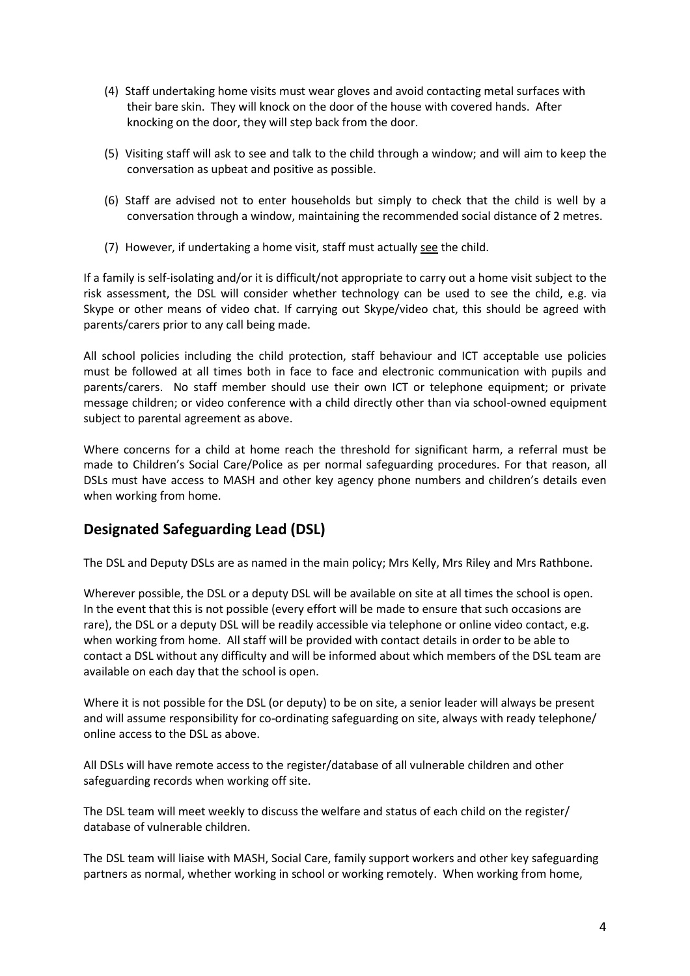- (4) Staff undertaking home visits must wear gloves and avoid contacting metal surfaces with their bare skin. They will knock on the door of the house with covered hands. After knocking on the door, they will step back from the door.
- (5) Visiting staff will ask to see and talk to the child through a window; and will aim to keep the conversation as upbeat and positive as possible.
- (6) Staff are advised not to enter households but simply to check that the child is well by a conversation through a window, maintaining the recommended social distance of 2 metres.
- (7) However, if undertaking a home visit, staff must actually see the child.

If a family is self-isolating and/or it is difficult/not appropriate to carry out a home visit subject to the risk assessment, the DSL will consider whether technology can be used to see the child, e.g. via Skype or other means of video chat. If carrying out Skype/video chat, this should be agreed with parents/carers prior to any call being made.

All school policies including the child protection, staff behaviour and ICT acceptable use policies must be followed at all times both in face to face and electronic communication with pupils and parents/carers. No staff member should use their own ICT or telephone equipment; or private message children; or video conference with a child directly other than via school-owned equipment subject to parental agreement as above.

Where concerns for a child at home reach the threshold for significant harm, a referral must be made to Children's Social Care/Police as per normal safeguarding procedures. For that reason, all DSLs must have access to MASH and other key agency phone numbers and children's details even when working from home.

## **Designated Safeguarding Lead (DSL)**

The DSL and Deputy DSLs are as named in the main policy; Mrs Kelly, Mrs Riley and Mrs Rathbone.

Wherever possible, the DSL or a deputy DSL will be available on site at all times the school is open. In the event that this is not possible (every effort will be made to ensure that such occasions are rare), the DSL or a deputy DSL will be readily accessible via telephone or online video contact, e.g. when working from home. All staff will be provided with contact details in order to be able to contact a DSL without any difficulty and will be informed about which members of the DSL team are available on each day that the school is open.

Where it is not possible for the DSL (or deputy) to be on site, a senior leader will always be present and will assume responsibility for co-ordinating safeguarding on site, always with ready telephone/ online access to the DSL as above.

All DSLs will have remote access to the register/database of all vulnerable children and other safeguarding records when working off site.

The DSL team will meet weekly to discuss the welfare and status of each child on the register/ database of vulnerable children.

The DSL team will liaise with MASH, Social Care, family support workers and other key safeguarding partners as normal, whether working in school or working remotely. When working from home,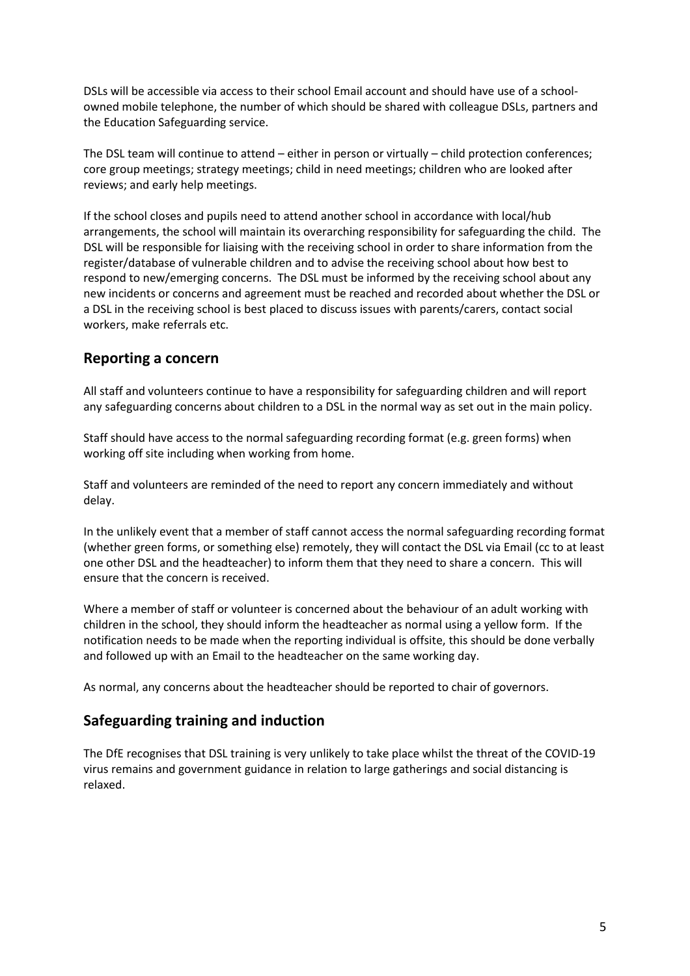DSLs will be accessible via access to their school Email account and should have use of a schoolowned mobile telephone, the number of which should be shared with colleague DSLs, partners and the Education Safeguarding service.

The DSL team will continue to attend – either in person or virtually – child protection conferences; core group meetings; strategy meetings; child in need meetings; children who are looked after reviews; and early help meetings.

If the school closes and pupils need to attend another school in accordance with local/hub arrangements, the school will maintain its overarching responsibility for safeguarding the child. The DSL will be responsible for liaising with the receiving school in order to share information from the register/database of vulnerable children and to advise the receiving school about how best to respond to new/emerging concerns. The DSL must be informed by the receiving school about any new incidents or concerns and agreement must be reached and recorded about whether the DSL or a DSL in the receiving school is best placed to discuss issues with parents/carers, contact social workers, make referrals etc.

#### **Reporting a concern**

All staff and volunteers continue to have a responsibility for safeguarding children and will report any safeguarding concerns about children to a DSL in the normal way as set out in the main policy.

Staff should have access to the normal safeguarding recording format (e.g. green forms) when working off site including when working from home.

Staff and volunteers are reminded of the need to report any concern immediately and without delay.

In the unlikely event that a member of staff cannot access the normal safeguarding recording format (whether green forms, or something else) remotely, they will contact the DSL via Email (cc to at least one other DSL and the headteacher) to inform them that they need to share a concern. This will ensure that the concern is received.

Where a member of staff or volunteer is concerned about the behaviour of an adult working with children in the school, they should inform the headteacher as normal using a yellow form. If the notification needs to be made when the reporting individual is offsite, this should be done verbally and followed up with an Email to the headteacher on the same working day.

As normal, any concerns about the headteacher should be reported to chair of governors.

#### **Safeguarding training and induction**

The DfE recognises that DSL training is very unlikely to take place whilst the threat of the COVID-19 virus remains and government guidance in relation to large gatherings and social distancing is relaxed.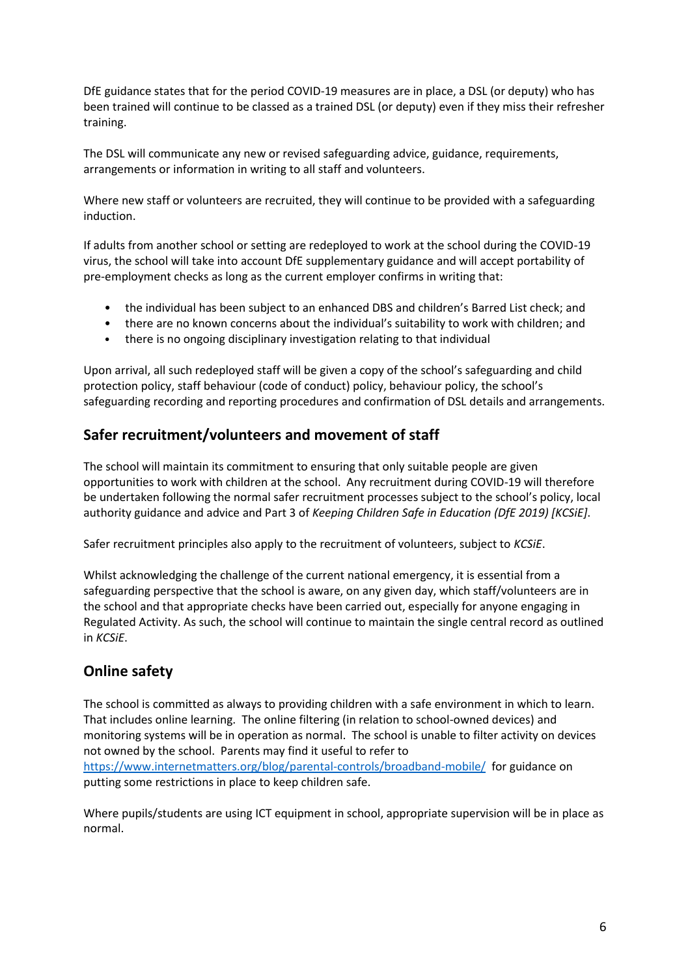DfE guidance states that for the period COVID-19 measures are in place, a DSL (or deputy) who has been trained will continue to be classed as a trained DSL (or deputy) even if they miss their refresher training.

The DSL will communicate any new or revised safeguarding advice, guidance, requirements, arrangements or information in writing to all staff and volunteers.

Where new staff or volunteers are recruited, they will continue to be provided with a safeguarding induction.

If adults from another school or setting are redeployed to work at the school during the COVID-19 virus, the school will take into account DfE supplementary guidance and will accept portability of pre-employment checks as long as the current employer confirms in writing that:

- the individual has been subject to an enhanced DBS and children's Barred List check; and
- there are no known concerns about the individual's suitability to work with children; and
- there is no ongoing disciplinary investigation relating to that individual

Upon arrival, all such redeployed staff will be given a copy of the school's safeguarding and child protection policy, staff behaviour (code of conduct) policy, behaviour policy, the school's safeguarding recording and reporting procedures and confirmation of DSL details and arrangements.

#### **Safer recruitment/volunteers and movement of staff**

The school will maintain its commitment to ensuring that only suitable people are given opportunities to work with children at the school. Any recruitment during COVID-19 will therefore be undertaken following the normal safer recruitment processes subject to the school's policy, local authority guidance and advice and Part 3 of *Keeping Children Safe in Education (DfE 2019) [KCSiE]*.

Safer recruitment principles also apply to the recruitment of volunteers, subject to *KCSiE*.

Whilst acknowledging the challenge of the current national emergency, it is essential from a safeguarding perspective that the school is aware, on any given day, which staff/volunteers are in the school and that appropriate checks have been carried out, especially for anyone engaging in Regulated Activity. As such, the school will continue to maintain the single central record as outlined in *KCSiE*.

## **Online safety**

The school is committed as always to providing children with a safe environment in which to learn. That includes online learning. The online filtering (in relation to school-owned devices) and monitoring systems will be in operation as normal. The school is unable to filter activity on devices not owned by the school. Parents may find it useful to refer to <https://www.internetmatters.org/blog/parental-controls/broadband-mobile/>for guidance on putting some restrictions in place to keep children safe.

Where pupils/students are using ICT equipment in school, appropriate supervision will be in place as normal.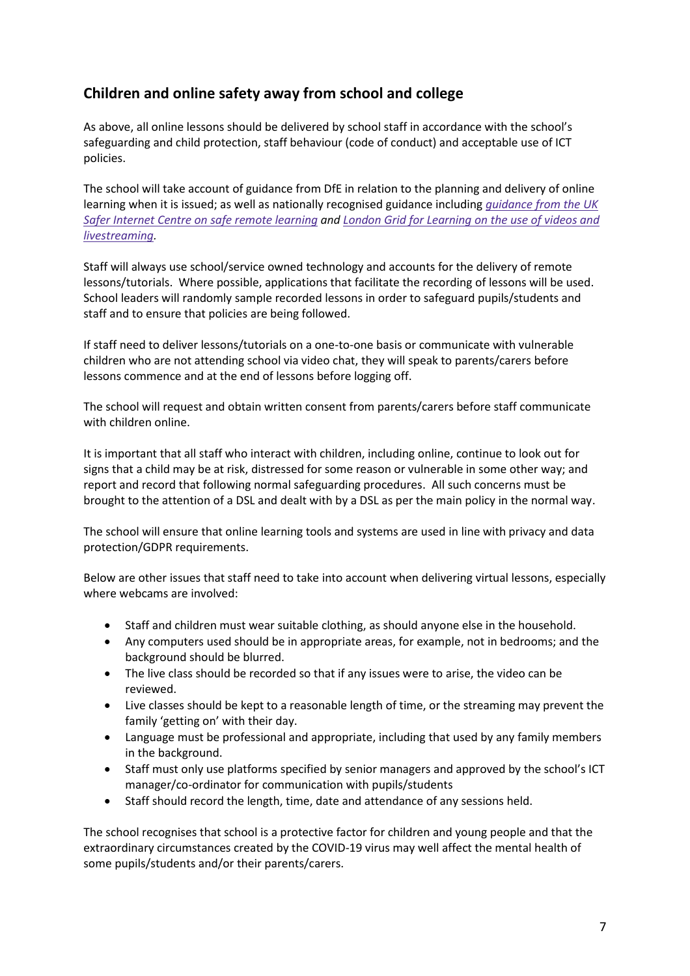## **Children and online safety away from school and college**

As above, all online lessons should be delivered by school staff in accordance with the school's safeguarding and child protection, staff behaviour (code of conduct) and acceptable use of ICT policies.

The school will take account of guidance from DfE in relation to the planning and delivery of online learning when it is issued; as well as nationally recognised guidance including *[guidance](https://swgfl.org.uk/resources/safe-remote-learning/) from the UK* Safer Internet Centre on safe remote [learning](https://swgfl.org.uk/resources/safe-remote-learning/) and London Grid for [Learning](https://static.lgfl.net/LgflNet/downloads/digisafe/Safe-Lessons-by-Video-and-Livestream.pdf) on the use of videos and *[livestreaming.](https://static.lgfl.net/LgflNet/downloads/digisafe/Safe-Lessons-by-Video-and-Livestream.pdf)*

Staff will always use school/service owned technology and accounts for the delivery of remote lessons/tutorials. Where possible, applications that facilitate the recording of lessons will be used. School leaders will randomly sample recorded lessons in order to safeguard pupils/students and staff and to ensure that policies are being followed.

If staff need to deliver lessons/tutorials on a one-to-one basis or communicate with vulnerable children who are not attending school via video chat, they will speak to parents/carers before lessons commence and at the end of lessons before logging off.

The school will request and obtain written consent from parents/carers before staff communicate with children online.

It is important that all staff who interact with children, including online, continue to look out for signs that a child may be at risk, distressed for some reason or vulnerable in some other way; and report and record that following normal safeguarding procedures. All such concerns must be brought to the attention of a DSL and dealt with by a DSL as per the main policy in the normal way.

The school will ensure that online learning tools and systems are used in line with privacy and data protection/GDPR requirements.

Below are other issues that staff need to take into account when delivering virtual lessons, especially where webcams are involved:

- Staff and children must wear suitable clothing, as should anyone else in the household.
- Any computers used should be in appropriate areas, for example, not in bedrooms; and the background should be blurred.
- The live class should be recorded so that if any issues were to arise, the video can be reviewed.
- Live classes should be kept to a reasonable length of time, or the streaming may prevent the family 'getting on' with their day.
- Language must be professional and appropriate, including that used by any family members in the background.
- Staff must only use platforms specified by senior managers and approved by the school's ICT manager/co-ordinator for communication with pupils/students
- Staff should record the length, time, date and attendance of any sessions held.

The school recognises that school is a protective factor for children and young people and that the extraordinary circumstances created by the COVID-19 virus may well affect the mental health of some pupils/students and/or their parents/carers.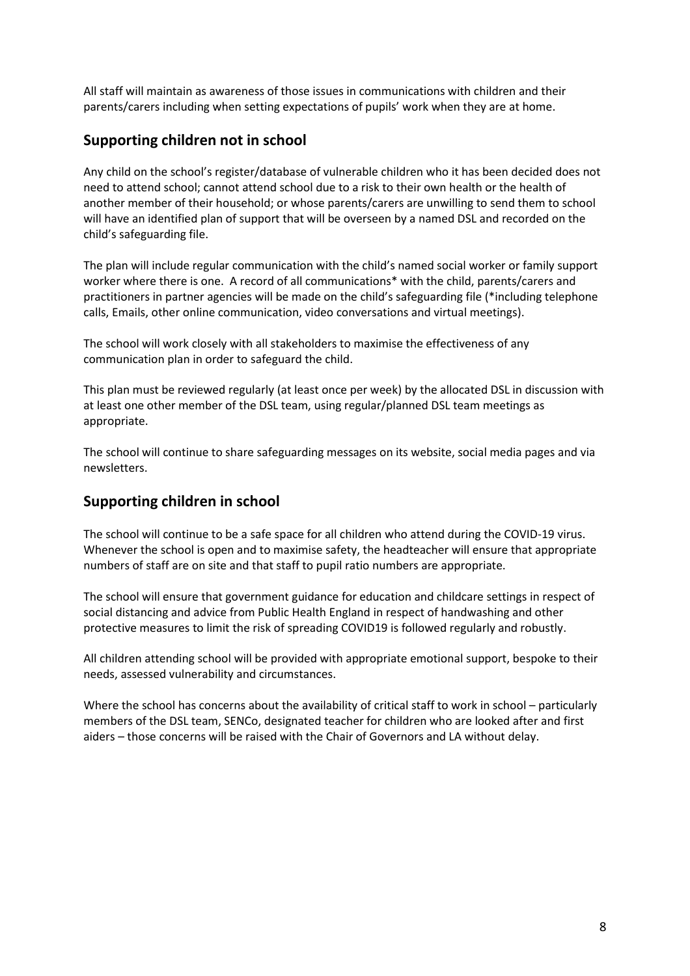All staff will maintain as awareness of those issues in communications with children and their parents/carers including when setting expectations of pupils' work when they are at home.

### **Supporting children not in school**

Any child on the school's register/database of vulnerable children who it has been decided does not need to attend school; cannot attend school due to a risk to their own health or the health of another member of their household; or whose parents/carers are unwilling to send them to school will have an identified plan of support that will be overseen by a named DSL and recorded on the child's safeguarding file.

The plan will include regular communication with the child's named social worker or family support worker where there is one. A record of all communications\* with the child, parents/carers and practitioners in partner agencies will be made on the child's safeguarding file (\*including telephone calls, Emails, other online communication, video conversations and virtual meetings).

The school will work closely with all stakeholders to maximise the effectiveness of any communication plan in order to safeguard the child.

This plan must be reviewed regularly (at least once per week) by the allocated DSL in discussion with at least one other member of the DSL team, using regular/planned DSL team meetings as appropriate.

The school will continue to share safeguarding messages on its website, social media pages and via newsletters.

## **Supporting children in school**

The school will continue to be a safe space for all children who attend during the COVID-19 virus. Whenever the school is open and to maximise safety, the headteacher will ensure that appropriate numbers of staff are on site and that staff to pupil ratio numbers are appropriate.

The school will ensure that government guidance for education and childcare settings in respect of social distancing and advice from Public Health England in respect of handwashing and other protective measures to limit the risk of spreading COVID19 is followed regularly and robustly.

All children attending school will be provided with appropriate emotional support, bespoke to their needs, assessed vulnerability and circumstances.

Where the school has concerns about the availability of critical staff to work in school – particularly members of the DSL team, SENCo, designated teacher for children who are looked after and first aiders – those concerns will be raised with the Chair of Governors and LA without delay.